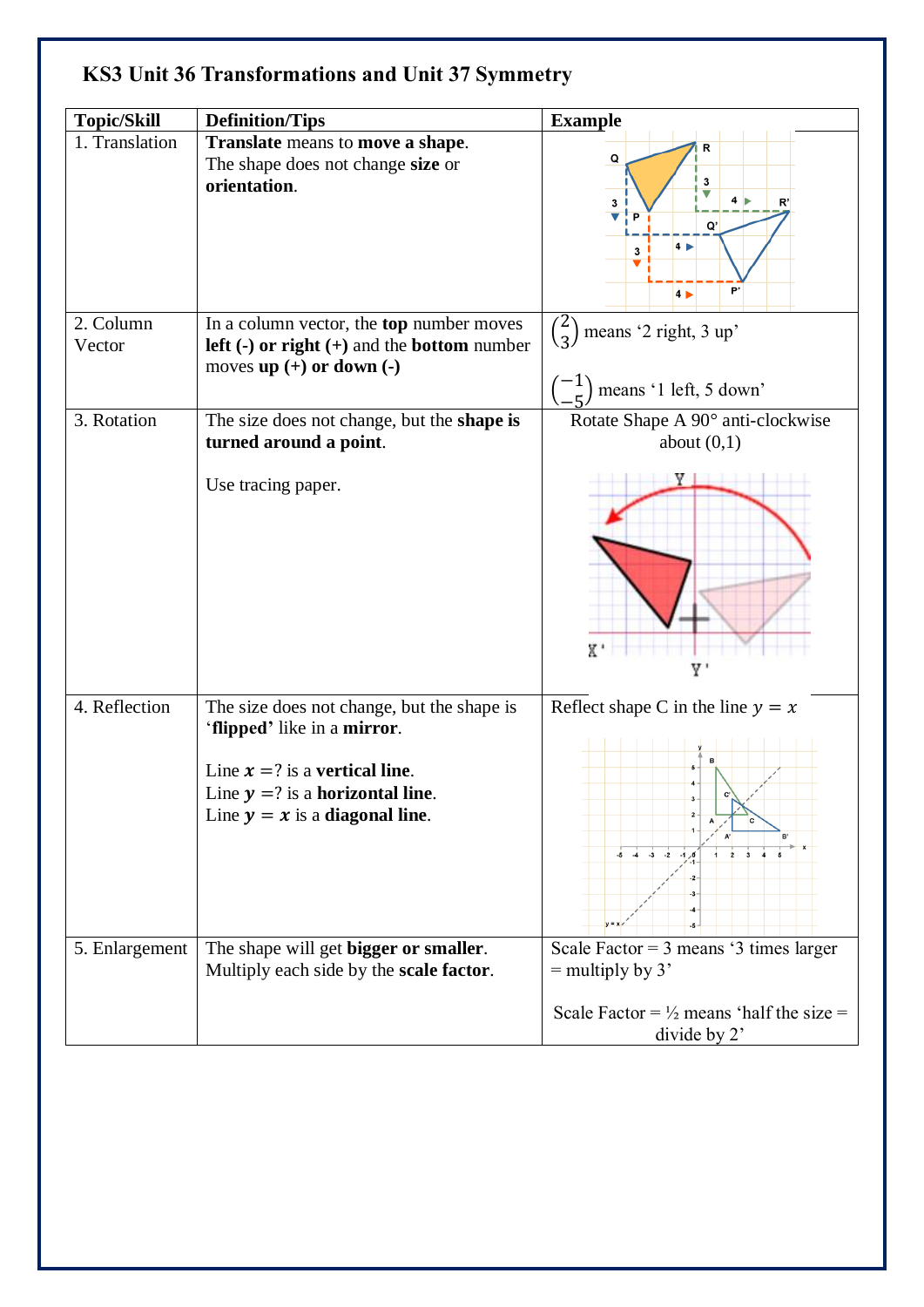|  |  |  |  |  | <b>KS3 Unit 36 Transformations and Unit 37 Symmetry</b> |
|--|--|--|--|--|---------------------------------------------------------|
|--|--|--|--|--|---------------------------------------------------------|

| <b>Topic/Skill</b>  | <b>Definition/Tips</b>                                                                                                                                                                  | <b>Example</b>                                                                                                                                                       |
|---------------------|-----------------------------------------------------------------------------------------------------------------------------------------------------------------------------------------|----------------------------------------------------------------------------------------------------------------------------------------------------------------------|
| 1. Translation      | Translate means to move a shape.<br>The shape does not change size or<br>orientation.                                                                                                   | R<br>Q<br>3<br>$\overline{\phantom{a}}$<br>4 <sub>b</sub><br>$\mathbf 3$<br>R'<br>$\overline{\mathbf{v}}$<br>P<br>Q'<br>$4\overline{ }$<br>3<br>b,<br>4 <sub>b</sub> |
| 2. Column<br>Vector | In a column vector, the <b>top</b> number moves<br><b>left</b> $\left(\text{-}\right)$ or right $\left(\text{+}\right)$ and the bottom number<br>moves up $(+)$ or down $(-)$           | $\binom{2}{3}$<br>means '2 right, 3 up'<br>means '1 left, 5 down'                                                                                                    |
| 3. Rotation         | The size does not change, but the <b>shape is</b><br>turned around a point.                                                                                                             | Rotate Shape A 90° anti-clockwise<br>about $(0,1)$                                                                                                                   |
|                     | Use tracing paper.                                                                                                                                                                      | X                                                                                                                                                                    |
| 4. Reflection       | The size does not change, but the shape is<br>'flipped' like in a mirror.<br>Line $x = ?$ is a vertical line.<br>Line $y = ?$ is a horizontal line.<br>Line $y = x$ is a diagonal line. | Reflect shape C in the line $y = x$<br>$-5$ $-4$ $-3$ $-2$ $-1$ $0$<br>$\overline{\mathbf{3}}$                                                                       |
| 5. Enlargement      | The shape will get bigger or smaller.<br>Multiply each side by the scale factor.                                                                                                        | Scale Factor = $3$ means ' $3$ times larger<br>$=$ multiply by 3'<br>Scale Factor = $\frac{1}{2}$ means 'half the size =<br>divide by 2'                             |